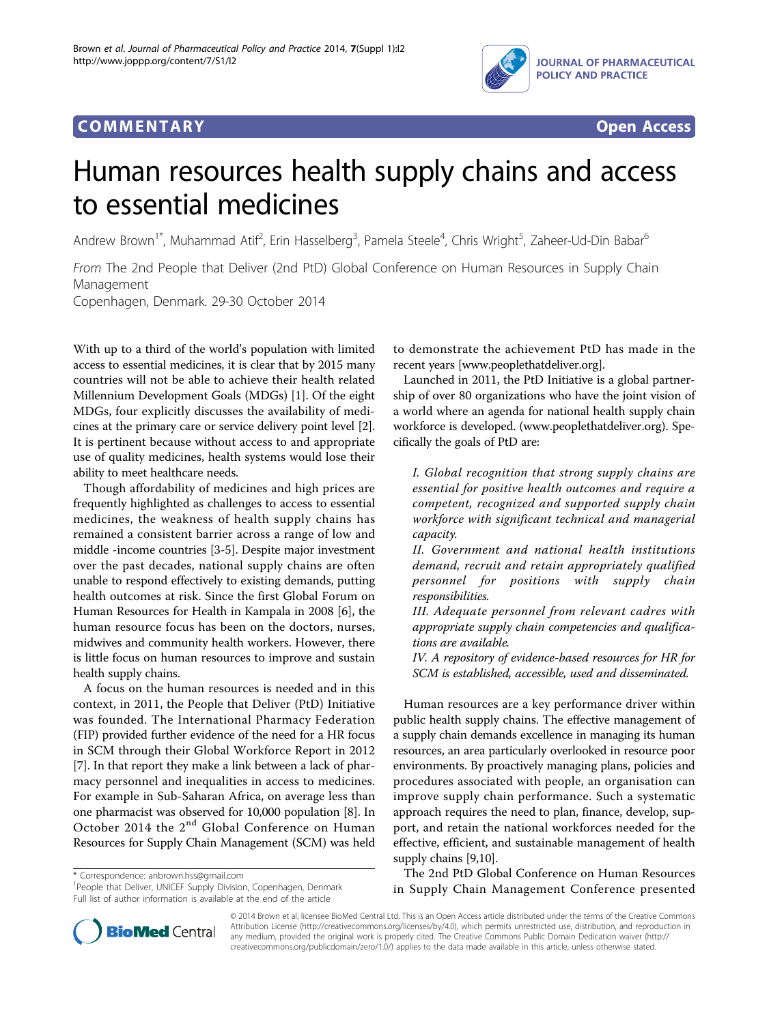

## **COMMENTARY COMMENTARY Open Access**



# Human resources health supply chains and access to essential medicines

Andrew Brown<sup>1\*</sup>, Muhammad Atif<sup>2</sup>, Erin Hasselberg<sup>3</sup>, Pamela Steele<sup>4</sup>, Chris Wright<sup>5</sup>, Zaheer-Ud-Din Babar<sup>6</sup>

From The 2nd People that Deliver (2nd PtD) Global Conference on Human Resources in Supply Chain Management

Copenhagen, Denmark. 29-30 October 2014

With up to a third of the world's population with limited access to essential medicines, it is clear that by 2015 many countries will not be able to achieve their health related Millennium Development Goals (MDGs) [[1\]](#page-1-0). Of the eight MDGs, four explicitly discusses the availability of medicines at the primary care or service delivery point level [[2](#page-1-0)]. It is pertinent because without access to and appropriate use of quality medicines, health systems would lose their ability to meet healthcare needs.

Though affordability of medicines and high prices are frequently highlighted as challenges to access to essential medicines, the weakness of health supply chains has remained a consistent barrier across a range of low and middle -income countries [\[3-5](#page-1-0)]. Despite major investment over the past decades, national supply chains are often unable to respond effectively to existing demands, putting health outcomes at risk. Since the first Global Forum on Human Resources for Health in Kampala in 2008 [[6\]](#page-1-0), the human resource focus has been on the doctors, nurses, midwives and community health workers. However, there is little focus on human resources to improve and sustain health supply chains.

A focus on the human resources is needed and in this context, in 2011, the People that Deliver (PtD) Initiative was founded. The International Pharmacy Federation (FIP) provided further evidence of the need for a HR focus in SCM through their Global Workforce Report in 2012 [[7\]](#page-1-0). In that report they make a link between a lack of pharmacy personnel and inequalities in access to medicines. For example in Sub-Saharan Africa, on average less than one pharmacist was observed for 10,000 population [\[8](#page-1-0)]. In October 2014 the 2<sup>nd</sup> Global Conference on Human Resources for Supply Chain Management (SCM) was held

\* Correspondence: [anbrown.hss@gmail.com](mailto:anbrown.hss@gmail.com)

<sup>1</sup> People that Deliver, UNICEF Supply Division, Copenhagen, Denmark Full list of author information is available at the end of the article

to demonstrate the achievement PtD has made in the recent years [\[www.peoplethatdeliver.org\]](www.peoplethatdeliver.org).

Launched in 2011, the PtD Initiative is a global partnership of over 80 organizations who have the joint vision of a world where an agenda for national health supply chain workforce is developed. ([www.peoplethatdeliver.org\)](www.peoplethatdeliver.org). Specifically the goals of PtD are:

I. Global recognition that strong supply chains are essential for positive health outcomes and require a competent, recognized and supported supply chain workforce with significant technical and managerial capacity.

II. Government and national health institutions demand, recruit and retain appropriately qualified personnel for positions with supply chain responsibilities.

III. Adequate personnel from relevant cadres with appropriate supply chain competencies and qualifications are available.

IV. A repository of evidence-based resources for HR for SCM is established, accessible, used and disseminated.

Human resources are a key performance driver within public health supply chains. The effective management of a supply chain demands excellence in managing its human resources, an area particularly overlooked in resource poor environments. By proactively managing plans, policies and procedures associated with people, an organisation can improve supply chain performance. Such a systematic approach requires the need to plan, finance, develop, support, and retain the national workforces needed for the effective, efficient, and sustainable management of health supply chains [\[9,10\]](#page-1-0).

The 2nd PtD Global Conference on Human Resources in Supply Chain Management Conference presented



© 2014 Brown et al; licensee BioMed Central Ltd. This is an Open Access article distributed under the terms of the Creative Commons<br>Attribution License [\(http://creativecommons.org/licenses/by/4.0](http://creativecommons.org/licenses/by/4.0)), which permits unrestrict any medium, provided the original work is properly cited. The Creative Commons Public Domain Dedication waiver [\(http://](http://creativecommons.org/publicdomain/zero/1.0/) [creativecommons.org/publicdomain/zero/1.0/](http://creativecommons.org/publicdomain/zero/1.0/)) applies to the data made available in this article, unless otherwise stated.